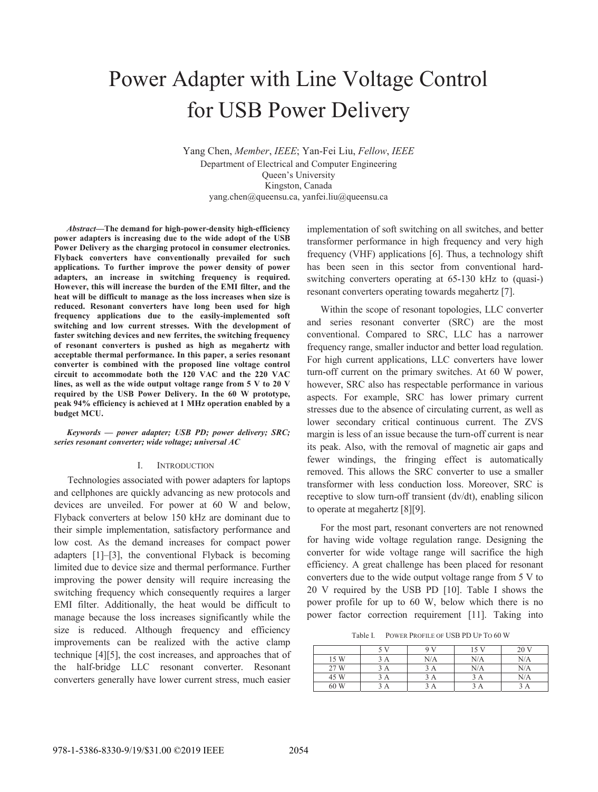# Power Adapter with Line Voltage Control for USB Power Delivery

Yang Chen, *Member*, *IEEE*; Yan-Fei Liu, *Fellow*, *IEEE* Department of Electrical and Computer Engineering Queen's University Kingston, Canada yang.chen@queensu.ca, yanfei.liu@queensu.ca

*Abstract***—The demand for high-power-density high-efficiency power adapters is increasing due to the wide adopt of the USB Power Delivery as the charging protocol in consumer electronics. Flyback converters have conventionally prevailed for such applications. To further improve the power density of power adapters, an increase in switching frequency is required. However, this will increase the burden of the EMI filter, and the heat will be difficult to manage as the loss increases when size is reduced. Resonant converters have long been used for high frequency applications due to the easily-implemented soft switching and low current stresses. With the development of faster switching devices and new ferrites, the switching frequency of resonant converters is pushed as high as megahertz with acceptable thermal performance. In this paper, a series resonant converter is combined with the proposed line voltage control circuit to accommodate both the 120 VAC and the 220 VAC lines, as well as the wide output voltage range from 5 V to 20 V required by the USB Power Delivery. In the 60 W prototype, peak 94% efficiency is achieved at 1 MHz operation enabled by a budget MCU.** 

*Keywords — power adapter; USB PD; power delivery; SRC; series resonant converter; wide voltage; universal AC* 

## I. INTRODUCTION

Technologies associated with power adapters for laptops and cellphones are quickly advancing as new protocols and devices are unveiled. For power at 60 W and below, Flyback converters at below 150 kHz are dominant due to their simple implementation, satisfactory performance and low cost. As the demand increases for compact power adapters [1]–[3], the conventional Flyback is becoming limited due to device size and thermal performance. Further improving the power density will require increasing the switching frequency which consequently requires a larger EMI filter. Additionally, the heat would be difficult to manage because the loss increases significantly while the size is reduced. Although frequency and efficiency improvements can be realized with the active clamp technique [4][5], the cost increases, and approaches that of the half-bridge LLC resonant converter. Resonant converters generally have lower current stress, much easier

implementation of soft switching on all switches, and better transformer performance in high frequency and very high frequency (VHF) applications [6]. Thus, a technology shift has been seen in this sector from conventional hardswitching converters operating at 65-130 kHz to (quasi-) resonant converters operating towards megahertz [7].

Within the scope of resonant topologies, LLC converter and series resonant converter (SRC) are the most conventional. Compared to SRC, LLC has a narrower frequency range, smaller inductor and better load regulation. For high current applications, LLC converters have lower turn-off current on the primary switches. At 60 W power, however, SRC also has respectable performance in various aspects. For example, SRC has lower primary current stresses due to the absence of circulating current, as well as lower secondary critical continuous current. The ZVS margin is less of an issue because the turn-off current is near its peak. Also, with the removal of magnetic air gaps and fewer windings, the fringing effect is automatically removed. This allows the SRC converter to use a smaller transformer with less conduction loss. Moreover, SRC is receptive to slow turn-off transient (dv/dt), enabling silicon to operate at megahertz [8][9].

For the most part, resonant converters are not renowned for having wide voltage regulation range. Designing the converter for wide voltage range will sacrifice the high efficiency. A great challenge has been placed for resonant converters due to the wide output voltage range from 5 V to 20 V required by the USB PD [10]. Table I shows the power profile for up to 60 W, below which there is no power factor correction requirement [11]. Taking into

Table I. POWER PROFILE OF USB PD UP TO 60 W

|      | 5 V | Q V | 15 V | 20 V |
|------|-----|-----|------|------|
| 15 W | A   | N/A | N/A  | N/A  |
| 27 W | ίA  | A   | N/A  | N/A  |
| 45 W | ίA  | A   | 3 A  | N/A  |
| 60 W | A   | А   | А    |      |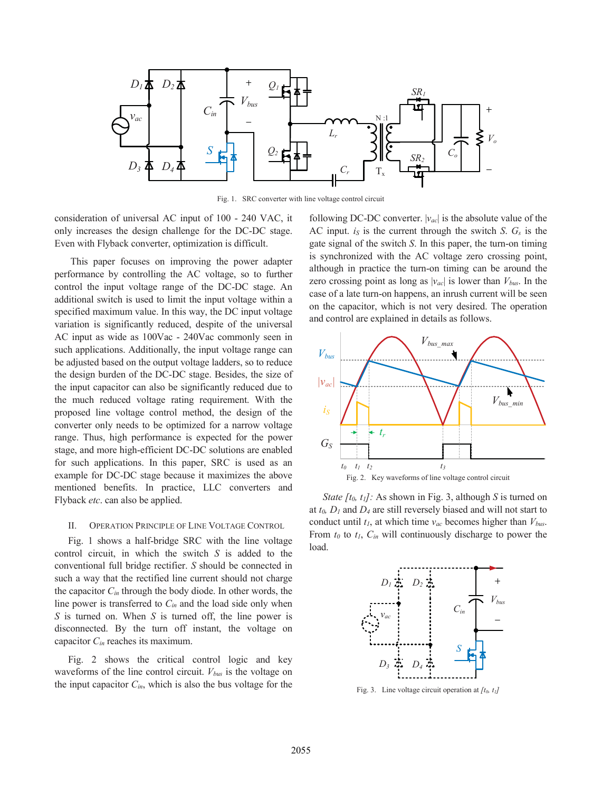

Fig. 1. SRC converter with line voltage control circuit

consideration of universal AC input of 100 - 240 VAC, it only increases the design challenge for the DC-DC stage. Even with Flyback converter, optimization is difficult.

 This paper focuses on improving the power adapter performance by controlling the AC voltage, so to further control the input voltage range of the DC-DC stage. An additional switch is used to limit the input voltage within a specified maximum value. In this way, the DC input voltage variation is significantly reduced, despite of the universal AC input as wide as 100Vac - 240Vac commonly seen in such applications. Additionally, the input voltage range can be adjusted based on the output voltage ladders, so to reduce the design burden of the DC-DC stage. Besides, the size of the input capacitor can also be significantly reduced due to the much reduced voltage rating requirement. With the proposed line voltage control method, the design of the converter only needs to be optimized for a narrow voltage range. Thus, high performance is expected for the power stage, and more high-efficient DC-DC solutions are enabled for such applications. In this paper, SRC is used as an example for DC-DC stage because it maximizes the above mentioned benefits. In practice, LLC converters and Flyback *etc*. can also be applied.

## II. OPERATION PRINCIPLE OF LINE VOLTAGE CONTROL

Fig. 1 shows a half-bridge SRC with the line voltage control circuit, in which the switch *S* is added to the conventional full bridge rectifier. *S* should be connected in such a way that the rectified line current should not charge the capacitor *Cin* through the body diode. In other words, the line power is transferred to *Cin* and the load side only when *S* is turned on. When *S* is turned off, the line power is disconnected. By the turn off instant, the voltage on capacitor *Cin* reaches its maximum.

Fig. 2 shows the critical control logic and key waveforms of the line control circuit. *Vbus* is the voltage on the input capacitor *Cin*, which is also the bus voltage for the following DC-DC converter. |*vac*| is the absolute value of the AC input. *iS* is the current through the switch *S*. *Gs* is the gate signal of the switch *S*. In this paper, the turn-on timing is synchronized with the AC voltage zero crossing point, although in practice the turn-on timing can be around the zero crossing point as long as  $|v_{ac}|$  is lower than  $V_{bus}$ . In the case of a late turn-on happens, an inrush current will be seen on the capacitor, which is not very desired. The operation and control are explained in details as follows.



*State [t<sub>0</sub>, t<sub>1</sub>]*: As shown in Fig. 3, although *S* is turned on at *t0, D1* and *D4* are still reversely biased and will not start to conduct until *t1*, at which time *vac* becomes higher than *Vbus*. From *t0* to *t1*, *Cin* will continuously discharge to power the load.



Fig. 3. Line voltage circuit operation at [t<sub>0</sub>, t<sub>1</sub>]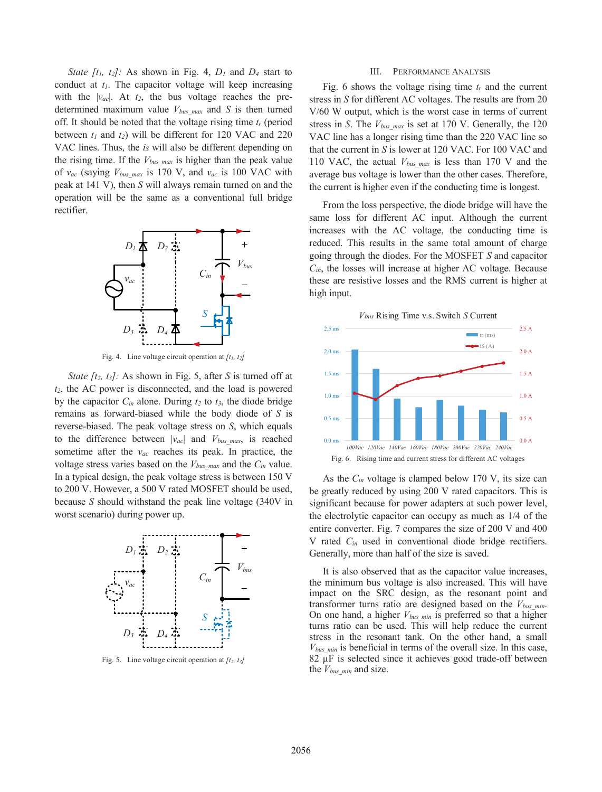*State [t1, t2]:* As shown in Fig. 4, *D1* and *D4* start to conduct at  $t_1$ . The capacitor voltage will keep increasing with the  $|v_{ac}|$ . At  $t_2$ , the bus voltage reaches the predetermined maximum value  $V_{bus\ max}$  and  $S$  is then turned off. It should be noted that the voltage rising time *tr* (period between  $t_1$  and  $t_2$ ) will be different for 120 VAC and 220 VAC lines. Thus, the *i<sub>S</sub>* will also be different depending on the rising time. If the  $V_{bus\ max}$  is higher than the peak value of  $v_{ac}$  (saying  $V_{bus\ max}$  is 170 V, and  $v_{ac}$  is 100 VAC with peak at 141 V), then *S* will always remain turned on and the operation will be the same as a conventional full bridge rectifier.



Fig. 4. Line voltage circuit operation at *[t1, t2]*

*State [t<sub>2</sub>, t<sub>3</sub>]*: As shown in Fig. 5, after *S* is turned off at *t2*, the AC power is disconnected, and the load is powered by the capacitor  $C_{in}$  alone. During  $t_2$  to  $t_3$ , the diode bridge remains as forward-biased while the body diode of *S* is reverse-biased. The peak voltage stress on *S*, which equals to the difference between |*vac*| and *Vbus\_max*, is reached sometime after the *vac* reaches its peak. In practice, the voltage stress varies based on the *Vbus\_max* and the *Cin* value. In a typical design, the peak voltage stress is between 150 V to 200 V. However, a 500 V rated MOSFET should be used, because *S* should withstand the peak line voltage (340V in worst scenario) during power up.



Fig. 5. Line voltage circuit operation at  $[t_2, t_3]$ 

#### III. PERFORMANCE ANALYSIS

Fig. 6 shows the voltage rising time *tr* and the current stress in *S* for different AC voltages. The results are from 20 V/60 W output, which is the worst case in terms of current stress in *S*. The *Vbus\_max* is set at 170 V. Generally, the 120 VAC line has a longer rising time than the 220 VAC line so that the current in *S* is lower at 120 VAC. For 100 VAC and 110 VAC, the actual *Vbus\_max* is less than 170 V and the average bus voltage is lower than the other cases. Therefore, the current is higher even if the conducting time is longest.

From the loss perspective, the diode bridge will have the same loss for different AC input. Although the current increases with the AC voltage, the conducting time is reduced. This results in the same total amount of charge going through the diodes. For the MOSFET *S* and capacitor *Cin*, the losses will increase at higher AC voltage. Because these are resistive losses and the RMS current is higher at high input.



As the *Cin* voltage is clamped below 170 V, its size can be greatly reduced by using 200 V rated capacitors. This is significant because for power adapters at such power level, the electrolytic capacitor can occupy as much as 1/4 of the entire converter. Fig. 7 compares the size of 200 V and 400 V rated *Cin* used in conventional diode bridge rectifiers. Generally, more than half of the size is saved.

It is also observed that as the capacitor value increases, the minimum bus voltage is also increased. This will have impact on the SRC design, as the resonant point and transformer turns ratio are designed based on the *Vbus\_min*. On one hand, a higher *Vbus\_min* is preferred so that a higher turns ratio can be used. This will help reduce the current stress in the resonant tank. On the other hand, a small  $V_{bus,min}$  is beneficial in terms of the overall size. In this case, 82 μF is selected since it achieves good trade-off between the  $V_{bus,min}$  and size.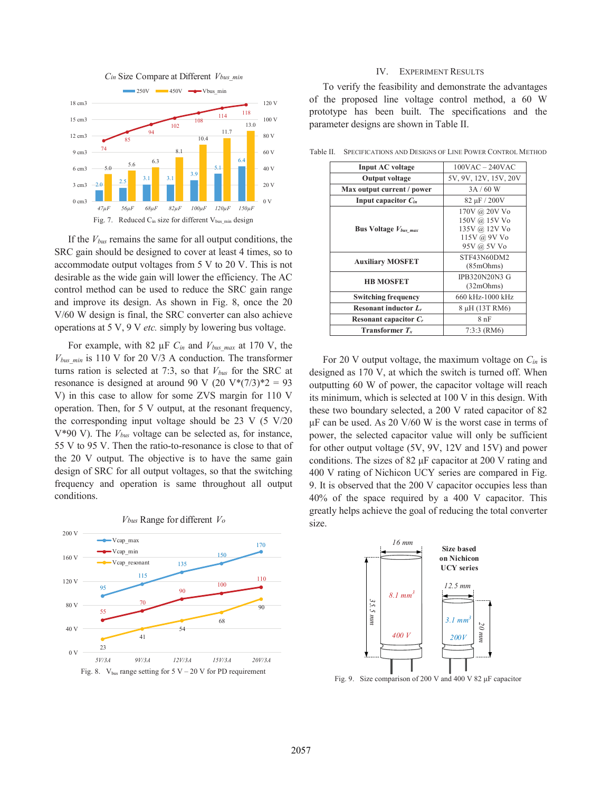

If the *Vbus* remains the same for all output conditions, the SRC gain should be designed to cover at least 4 times, so to accommodate output voltages from 5 V to 20 V. This is not desirable as the wide gain will lower the efficiency. The AC control method can be used to reduce the SRC gain range and improve its design. As shown in Fig. 8, once the 20 V/60 W design is final, the SRC converter can also achieve operations at 5 V, 9 V *etc.* simply by lowering bus voltage.

For example, with 82 μF *Cin* and *Vbus\_max* at 170 V, the *Vbus\_min* is 110 V for 20 V/3 A conduction. The transformer turns ration is selected at 7:3, so that *Vbus* for the SRC at resonance is designed at around 90 V (20 V\*(7/3)\*2 = 93 V) in this case to allow for some ZVS margin for 110 V operation. Then, for 5 V output, at the resonant frequency, the corresponding input voltage should be 23 V (5 V/20 V\*90 V). The *Vbus* voltage can be selected as, for instance, 55 V to 95 V. Then the ratio-to-resonance is close to that of the 20 V output. The objective is to have the same gain design of SRC for all output voltages, so that the switching frequency and operation is same throughout all output conditions.



#### *Cin* Size Compare at Different *Vbus\_min*

# IV. EXPERIMENT RESULTS

To verify the feasibility and demonstrate the advantages of the proposed line voltage control method, a 60 W prototype has been built. The specifications and the parameter designs are shown in Table II.

| <b>Input AC</b> voltage             | $100VAC - 240VAC$                                                              |  |
|-------------------------------------|--------------------------------------------------------------------------------|--|
| <b>Output voltage</b>               | 5V, 9V, 12V, 15V, 20V                                                          |  |
| Max output current / power          | 3A/60 W                                                                        |  |
| Input capacitor $C_{in}$            | $82 \mu F / 200 V$                                                             |  |
| <b>Bus Voltage</b> <i>V</i> bus max | 170V @ 20V Vo<br>150V @ 15V Vo<br>135V @ 12V Vo<br>115V @ 9V Vo<br>95V @ 5V Vo |  |
| <b>Auxiliary MOSFET</b>             | STF43N60DM2<br>(85mOhms)                                                       |  |
| <b>HB MOSFET</b>                    | <b>IPB320N20N3 G</b><br>(32mOhms)                                              |  |
| <b>Switching frequency</b>          | 660 kHz-1000 kHz                                                               |  |
| Resonant inductor $L_r$             | 8 µH (13T RM6)                                                                 |  |
| Resonant capacitor $C_r$            | 8nF                                                                            |  |
| Transformer $T_{x}$                 | $7:3:3$ (RM6)                                                                  |  |

Table II. SPECIFICATIONS AND DESIGNS OF LINE POWER CONTROL METHOD

For 20 V output voltage, the maximum voltage on *Cin* is designed as 170 V, at which the switch is turned off. When outputting 60 W of power, the capacitor voltage will reach its minimum, which is selected at 100 V in this design. With these two boundary selected, a 200 V rated capacitor of 82  $\mu$ F can be used. As 20 V/60 W is the worst case in terms of power, the selected capacitor value will only be sufficient for other output voltage (5V, 9V, 12V and 15V) and power conditions. The sizes of  $82 \mu$ F capacitor at  $200 \text{ V}$  rating and 400 V rating of Nichicon UCY series are compared in Fig. 9. It is observed that the 200 V capacitor occupies less than 40% of the space required by a 400 V capacitor. This greatly helps achieve the goal of reducing the total converter size.



Fig. 9. Size comparison of 200 V and 400 V 82 µF capacitor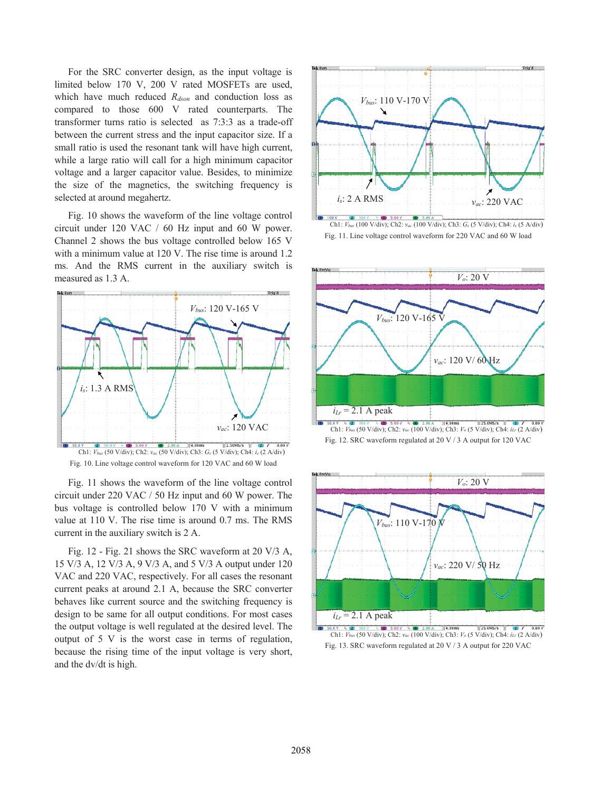For the SRC converter design, as the input voltage is limited below 170 V, 200 V rated MOSFETs are used, which have much reduced  $R_{dson}$  and conduction loss as compared to those 600 V rated counterparts. The transformer turns ratio is selected as 7:3:3 as a trade-off between the current stress and the input capacitor size. If a small ratio is used the resonant tank will have high current, while a large ratio will call for a high minimum capacitor voltage and a larger capacitor value. Besides, to minimize the size of the magnetics, the switching frequency is selected at around megahertz.

Fig. 10 shows the waveform of the line voltage control circuit under 120 VAC / 60 Hz input and 60 W power. Channel 2 shows the bus voltage controlled below 165 V with a minimum value at 120 V. The rise time is around 1.2 ms. And the RMS current in the auxiliary switch is measured as 1.3 A.



Fig. 10. Line voltage control waveform for 120 VAC and 60 W load

Fig. 11 shows the waveform of the line voltage control circuit under 220 VAC / 50 Hz input and 60 W power. The bus voltage is controlled below 170 V with a minimum value at 110 V. The rise time is around 0.7 ms. The RMS current in the auxiliary switch is 2 A.

Fig. 12 - Fig. 21 shows the SRC waveform at 20 V/3 A, 15 V/3 A, 12 V/3 A, 9 V/3 A, and 5 V/3 A output under 120 VAC and 220 VAC, respectively. For all cases the resonant current peaks at around 2.1 A, because the SRC converter behaves like current source and the switching frequency is design to be same for all output conditions. For most cases the output voltage is well regulated at the desired level. The output of 5 V is the worst case in terms of regulation, because the rising time of the input voltage is very short, and the dv/dt is high.











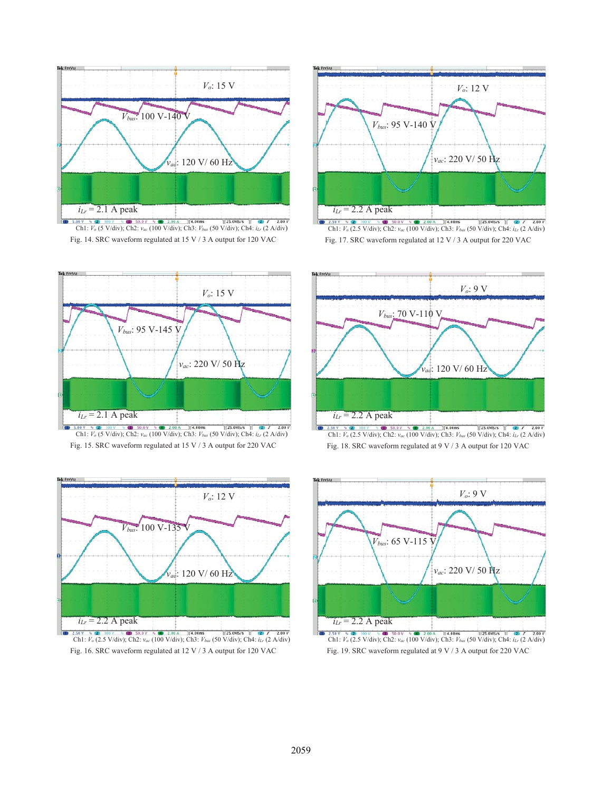

Ch1: *V<sub>o</sub>* (5 V/div); Ch2: *vac* (100 V/div); Ch3: *Vbus* (50 V/div); Ch4: *iLr* (2 A/div); Ch4: *iLr* (2 A/div) Fig. 14. SRC waveform regulated at 15 V / 3 A output for 120 VAC







Fig. 15. SRC waveform regulated at 15 V / 3 A output for 220 VAC



Fig. 16. SRC waveform regulated at 12 V / 3 A output for 120 VAC



Fig. 18. SRC waveform regulated at 9 V / 3 A output for 120 VAC